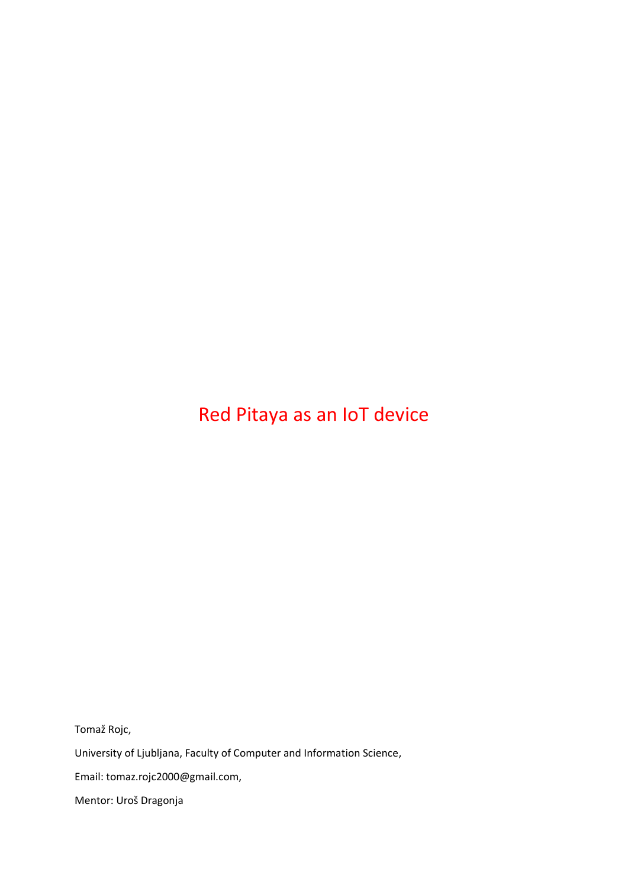# Red Pitaya as an IoT device

Tomaž Rojc,

University of Ljubljana, Faculty of Computer and Information Science,

Email: tomaz.rojc2000@gmail.com,

Mentor: Uroš Dragonja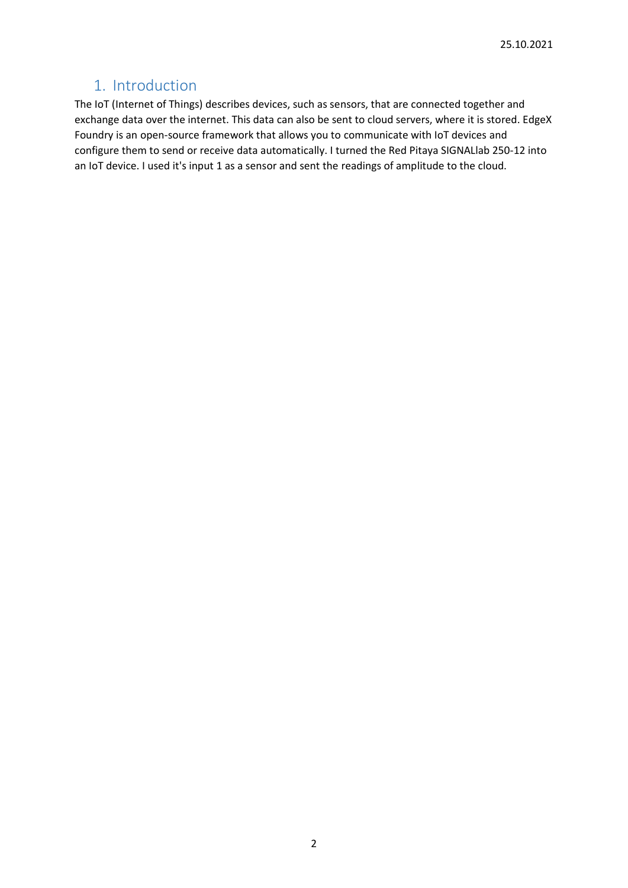### 1. Introduction

The IoT (Internet of Things) describes devices, such as sensors, that are connected together and exchange data over the internet. This data can also be sent to cloud servers, where it is stored. EdgeX Foundry is an open-source framework that allows you to communicate with IoT devices and configure them to send or receive data automatically. I turned the Red Pitaya SIGNALlab 250-12 into an IoT device. I used it's input 1 as a sensor and sent the readings of amplitude to the cloud.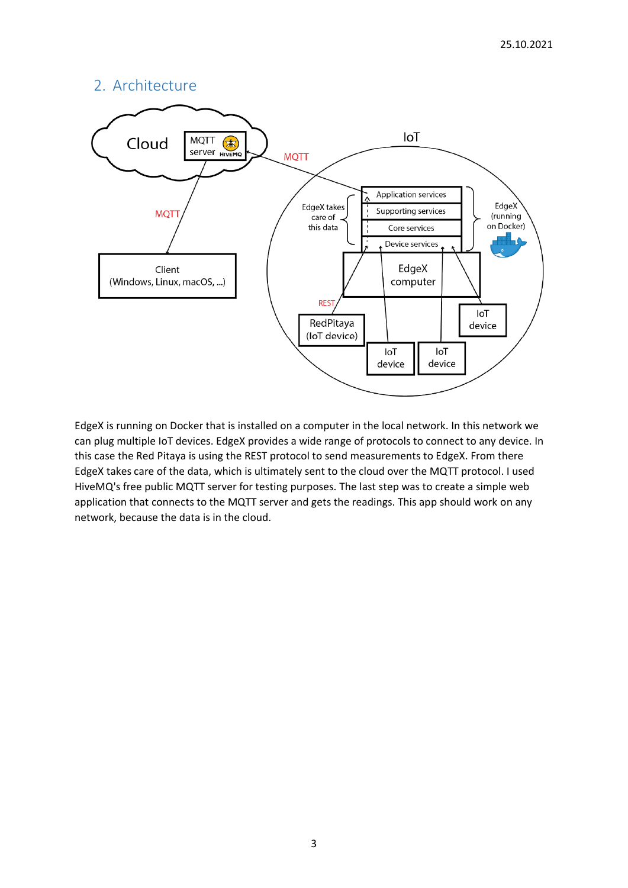#### 2. Architecture



EdgeX is running on Docker that is installed on a computer in the local network. In this network we can plug multiple IoT devices. EdgeX provides a wide range of protocols to connect to any device. In this case the Red Pitaya is using the REST protocol to send measurements to EdgeX. From there EdgeX takes care of the data, which is ultimately sent to the cloud over the MQTT protocol. I used HiveMQ's free public MQTT server for testing purposes. The last step was to create a simple web application that connects to the MQTT server and gets the readings. This app should work on any network, because the data is in the cloud.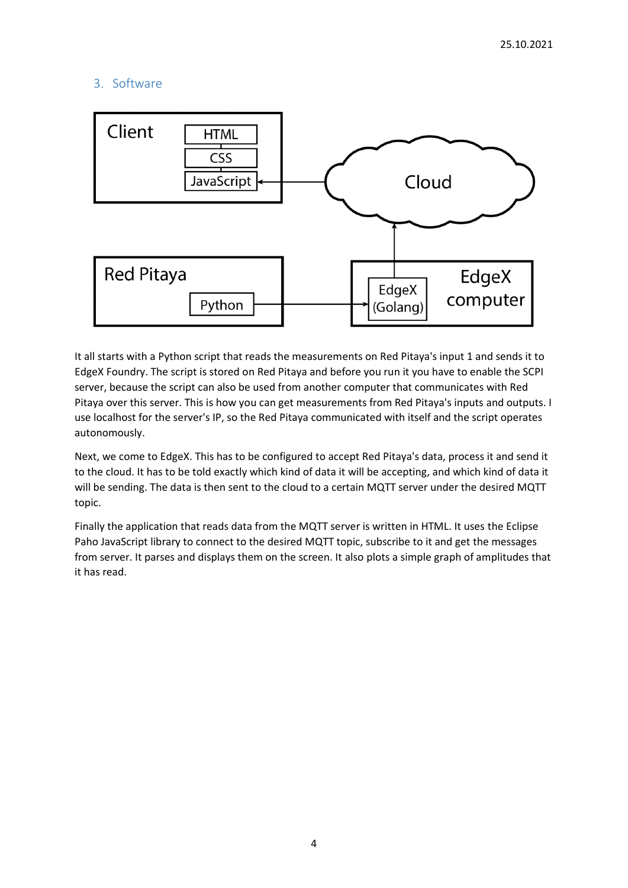#### 3. Software



It all starts with a Python script that reads the measurements on Red Pitaya's input 1 and sends it to EdgeX Foundry. The script is stored on Red Pitaya and before you run it you have to enable the SCPI server, because the script can also be used from another computer that communicates with Red Pitaya over this server. This is how you can get measurements from Red Pitaya's inputs and outputs. I use localhost for the server's IP, so the Red Pitaya communicated with itself and the script operates autonomously.

Next, we come to EdgeX. This has to be configured to accept Red Pitaya's data, process it and send it to the cloud. It has to be told exactly which kind of data it will be accepting, and which kind of data it will be sending. The data is then sent to the cloud to a certain MQTT server under the desired MQTT topic.

Finally the application that reads data from the MQTT server is written in HTML. It uses the Eclipse Paho JavaScript library to connect to the desired MQTT topic, subscribe to it and get the messages from server. It parses and displays them on the screen. It also plots a simple graph of amplitudes that it has read.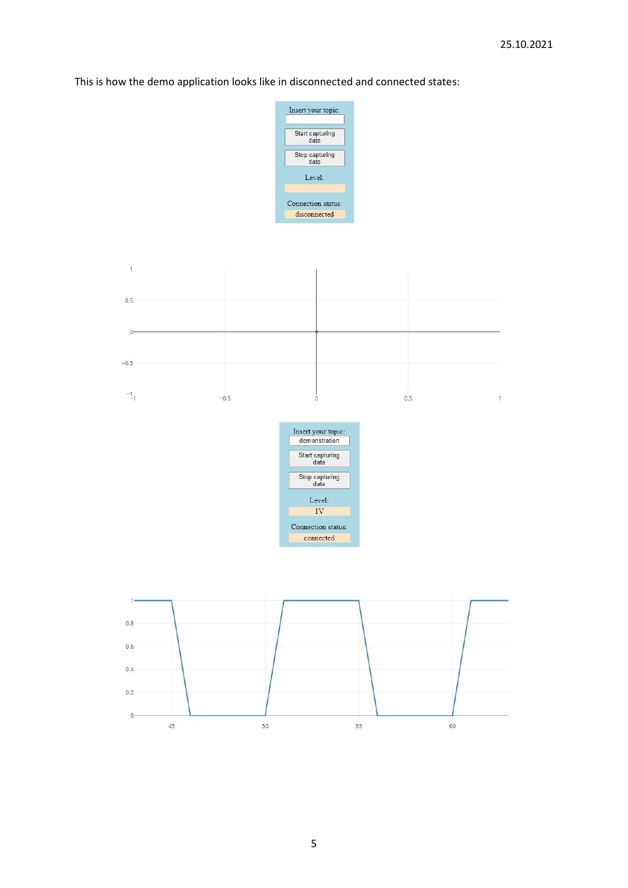This is how the demo application looks like in disconnected and connected states: